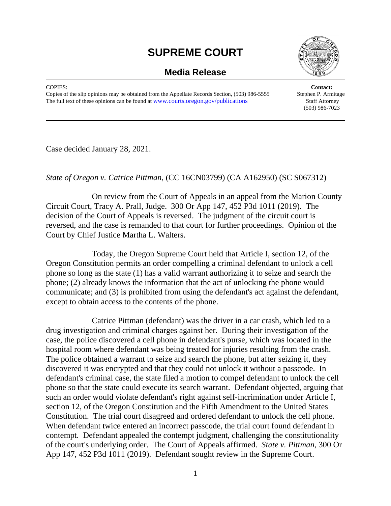## **SUPREME COURT**





COPIES: **Contact:**  Copies of the slip opinions may be obtained from the Appellate Records Section, (503) 986-5555 Stephen P. Armitage The full text of these opinions can be found at www.courts.orggon.gov/publications Staff Attorney

(503) 986-7023

Case decided January 28, 2021.

## *State of Oregon v. Catrice Pittman*, (CC 16CN03799) (CA A162950) (SC S067312)

 On review from the Court of Appeals in an appeal from the Marion County Circuit Court, Tracy A. Prall, Judge. 300 Or App 147, 452 P3d 1011 (2019). The decision of the Court of Appeals is reversed. The judgment of the circuit court is reversed, and the case is remanded to that court for further proceedings. Opinion of the Court by Chief Justice Martha L. Walters.

 Today, the Oregon Supreme Court held that Article I, section 12, of the Oregon Constitution permits an order compelling a criminal defendant to unlock a cell phone so long as the state (1) has a valid warrant authorizing it to seize and search the phone; (2) already knows the information that the act of unlocking the phone would communicate; and (3) is prohibited from using the defendant's act against the defendant, except to obtain access to the contents of the phone.

 Catrice Pittman (defendant) was the driver in a car crash, which led to a drug investigation and criminal charges against her. During their investigation of the case, the police discovered a cell phone in defendant's purse, which was located in the hospital room where defendant was being treated for injuries resulting from the crash. The police obtained a warrant to seize and search the phone, but after seizing it, they discovered it was encrypted and that they could not unlock it without a passcode. In defendant's criminal case, the state filed a motion to compel defendant to unlock the cell phone so that the state could execute its search warrant. Defendant objected, arguing that such an order would violate defendant's right against self-incrimination under Article I, section 12, of the Oregon Constitution and the Fifth Amendment to the United States Constitution. The trial court disagreed and ordered defendant to unlock the cell phone. When defendant twice entered an incorrect passcode, the trial court found defendant in contempt. Defendant appealed the contempt judgment, challenging the constitutionality of the court's underlying order. The Court of Appeals affirmed. *State v. Pittman*, 300 Or App 147, 452 P3d 1011 (2019). Defendant sought review in the Supreme Court.